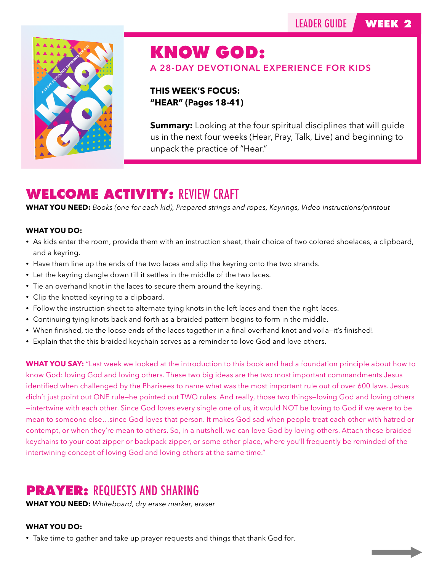

# KNOW GOD:

**A 28-DAY DEVOTIONAL EXPERIENCE FOR KIDS** 

**THIS WEEK'S FOCUS: "HEAR" (Pages 18-41)** 

**Summary:** Looking at the four spiritual disciplines that will guide us in the next four weeks (Hear, Pray, Talk, Live) and beginning to unpack the practice of "Hear."

# **WELCOME ACTIVITY:** REVIEW CRAFT

**WHAT YOU NEED:** *Books (one for each kid), Prepared strings and ropes, Keyrings, Video instructions/printout*

### **WHAT YOU DO:**

- As kids enter the room, provide them with an instruction sheet, their choice of two colored shoelaces, a clipboard, and a keyring.
- Have them line up the ends of the two laces and slip the keyring onto the two strands.
- Let the keyring dangle down till it settles in the middle of the two laces.
- Tie an overhand knot in the laces to secure them around the keyring.
- Clip the knotted keyring to a clipboard.
- Follow the instruction sheet to alternate tying knots in the left laces and then the right laces.
- Continuing tying knots back and forth as a braided pattern begins to form in the middle.
- When finished, tie the loose ends of the laces together in a final overhand knot and voila—it's finished!
- Explain that the this braided keychain serves as a reminder to love God and love others.

**WHAT YOU SAY:** "Last week we looked at the introduction to this book and had a foundation principle about how to know God: loving God and loving others. These two big ideas are the two most important commandments Jesus identified when challenged by the Pharisees to name what was the most important rule out of over 600 laws. Jesus didn't just point out ONE rule—he pointed out TWO rules. And really, those two things—loving God and loving others —intertwine with each other. Since God loves every single one of us, it would NOT be loving to God if we were to be mean to someone else…since God loves that person. It makes God sad when people treat each other with hatred or contempt, or when they're mean to others. So, in a nutshell, we can love God by loving others. Attach these braided keychains to your coat zipper or backpack zipper, or some other place, where you'll frequently be reminded of the intertwining concept of loving God and loving others at the same time."

# **PRAYER:** REQUESTS AND SHARING

**WHAT YOU NEED:** *Whiteboard, dry erase marker, eraser*

### **WHAT YOU DO:**

• Take time to gather and take up prayer requests and things that thank God for.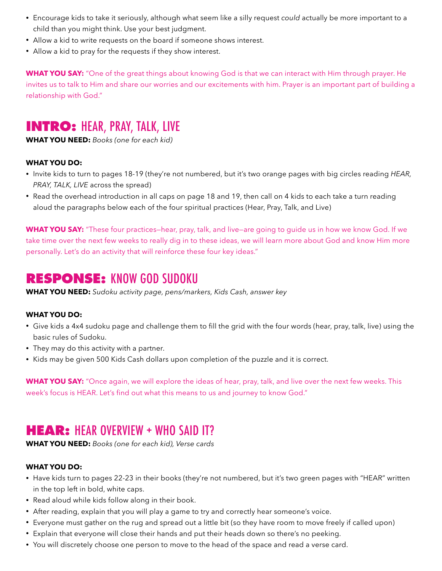- Encourage kids to take it seriously, although what seem like a silly request *could* actually be more important to a child than you might think. Use your best judgment.
- Allow a kid to write requests on the board if someone shows interest.
- Allow a kid to pray for the requests if they show interest.

**WHAT YOU SAY:** "One of the great things about knowing God is that we can interact with Him through prayer. He invites us to talk to Him and share our worries and our excitements with him. Prayer is an important part of building a relationship with God."

# **INTRO:** HEAR, PRAY, TALK, LIVE

**WHAT YOU NEED:** *Books (one for each kid)*

### **WHAT YOU DO:**

- Invite kids to turn to pages 18-19 (they're not numbered, but it's two orange pages with big circles reading *HEAR, PRAY, TALK, LIVE* across the spread)
- Read the overhead introduction in all caps on page 18 and 19, then call on 4 kids to each take a turn reading aloud the paragraphs below each of the four spiritual practices (Hear, Pray, Talk, and Live)

**WHAT YOU SAY:** "These four practices—hear, pray, talk, and live—are going to guide us in how we know God. If we take time over the next few weeks to really dig in to these ideas, we will learn more about God and know Him more personally. Let's do an activity that will reinforce these four key ideas."

### **RESPONSE:** KNOW GOD SUDOKU

**WHAT YOU NEED:** *Sudoku activity page, pens/markers, Kids Cash, answer key*

### **WHAT YOU DO:**

- Give kids a 4x4 sudoku page and challenge them to fill the grid with the four words (hear, pray, talk, live) using the basic rules of Sudoku.
- They may do this activity with a partner.
- Kids may be given 500 Kids Cash dollars upon completion of the puzzle and it is correct.

**WHAT YOU SAY:** "Once again, we will explore the ideas of hear, pray, talk, and live over the next few weeks. This week's focus is HEAR. Let's find out what this means to us and journey to know God."

### **HEAR:** HEAR OVERVIEW + WHO SAID IT?

**WHAT YOU NEED:** *Books (one for each kid), Verse cards*

### **WHAT YOU DO:**

- Have kids turn to pages 22-23 in their books (they're not numbered, but it's two green pages with "HEAR" written in the top left in bold, white caps.
- Read aloud while kids follow along in their book.
- After reading, explain that you will play a game to try and correctly hear someone's voice.
- Everyone must gather on the rug and spread out a little bit (so they have room to move freely if called upon)
- Explain that everyone will close their hands and put their heads down so there's no peeking.
- You will discretely choose one person to move to the head of the space and read a verse card.